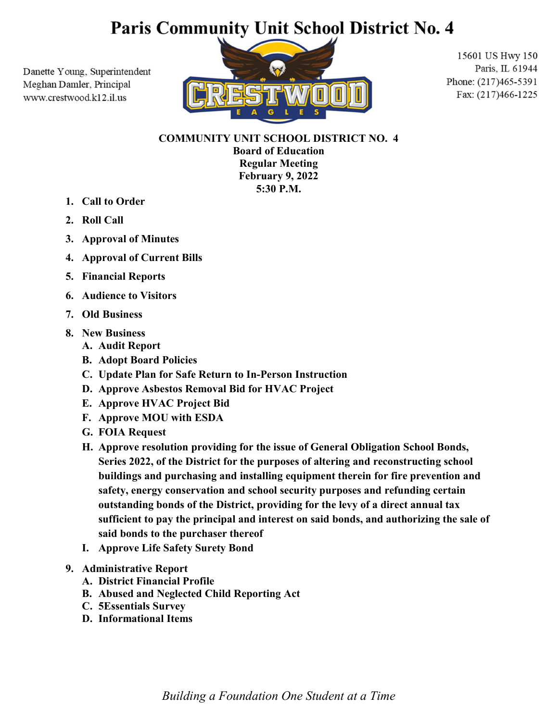# Paris Community Unit School District No. 4

Danette Young, Superintendent Meghan Damler, Principal www.crestwood.k12.il.us



15601 US Hwy 150 Paris, IL 61944 Phone: (217)465-5391 Fax: (217)466-1225

## COMMUNITY UNIT SCHOOL DISTRICT NO. 4

Board of Education Regular Meeting February 9, 2022 5:30 P.M.

- 1. Call to Order
- 2. Roll Call
- 3. Approval of Minutes
- 4. Approval of Current Bills
- 5. Financial Reports
- 6. Audience to Visitors
- 7. Old Business
- 8. New Business
	- A. Audit Report
	- B. Adopt Board Policies
	- C. Update Plan for Safe Return to In-Person Instruction
	- D. Approve Asbestos Removal Bid for HVAC Project
	- E. Approve HVAC Project Bid
	- F. Approve MOU with ESDA
	- G. FOIA Request
	- H. Approve resolution providing for the issue of General Obligation School Bonds, Series 2022, of the District for the purposes of altering and reconstructing school buildings and purchasing and installing equipment therein for fire prevention and safety, energy conservation and school security purposes and refunding certain outstanding bonds of the District, providing for the levy of a direct annual tax sufficient to pay the principal and interest on said bonds, and authorizing the sale of said bonds to the purchaser thereof
	- I. Approve Life Safety Surety Bond
- 9. Administrative Report
	- A. District Financial Profile
	- B. Abused and Neglected Child Reporting Act
	- C. 5Essentials Survey
	- D. Informational Items